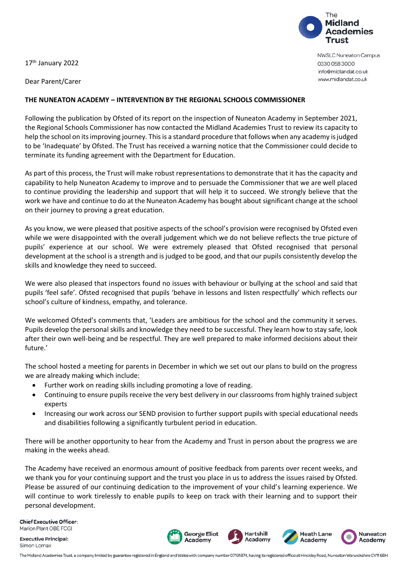17<sup>th</sup> January 2022

Dear Parent/Carer

## **THE NUNEATON ACADEMY – INTERVENTION BY THE REGIONAL SCHOOLS COMMISSIONER**

Following the publication by Ofsted of its report on the inspection of Nuneaton Academy in September 2021, the Regional Schools Commissioner has now contacted the Midland Academies Trust to review its capacity to help the school on its improving journey. This is a standard procedure that follows when any academy is judged to be 'Inadequate' by Ofsted. The Trust has received a warning notice that the Commissioner could decide to terminate its funding agreement with the Department for Education.

As part of this process, the Trust will make robust representations to demonstrate that it has the capacity and capability to help Nuneaton Academy to improve and to persuade the Commissioner that we are well placed to continue providing the leadership and support that will help it to succeed. We strongly believe that the work we have and continue to do at the Nuneaton Academy has bought about significant change at the school on their journey to proving a great education.

As you know, we were pleased that positive aspects of the school's provision were recognised by Ofsted even while we were disappointed with the overall judgement which we do not believe reflects the true picture of pupils' experience at our school. We were extremely pleased that Ofsted recognised that personal development at the school is a strength and is judged to be good, and that our pupils consistently develop the skills and knowledge they need to succeed.

We were also pleased that inspectors found no issues with behaviour or bullying at the school and said that pupils 'feel safe'. Ofsted recognised that pupils 'behave in lessons and listen respectfully' which reflects our school's culture of kindness, empathy, and tolerance.

We welcomed Ofsted's comments that, 'Leaders are ambitious for the school and the community it serves. Pupils develop the personal skills and knowledge they need to be successful. They learn how to stay safe, look after their own well-being and be respectful. They are well prepared to make informed decisions about their future.'

The school hosted a meeting for parents in December in which we set out our plans to build on the progress we are already making which include:

- Further work on reading skills including promoting a love of reading.
- Continuing to ensure pupils receive the very best delivery in our classrooms from highly trained subject experts
- Increasing our work across our SEND provision to further support pupils with special educational needs and disabilities following a significantly turbulent period in education.

There will be another opportunity to hear from the Academy and Trust in person about the progress we are making in the weeks ahead.

The Academy have received an enormous amount of positive feedback from parents over recent weeks, and we thank you for your continuing support and the trust you place in us to address the issues raised by Ofsted. Please be assured of our continuing dedication to the improvement of your child's learning experience. We will continue to work tirelessly to enable pupils to keep on track with their learning and to support their personal development.

**Chief Executive Officer:** Marion Plant OBE FCGI

**Executive Principal:** Simon Lomax





**NWSLC Nuneaton Campus** 0330 058 3000 info@midlandat.co.uk www.midlandat.co.uk

The Midland Academies Trust, a company limited by guarantee registered in England and Wales with company number 07191874, having its registered office at Hinckley Road, Nuneaton Warwickshire CV116BH